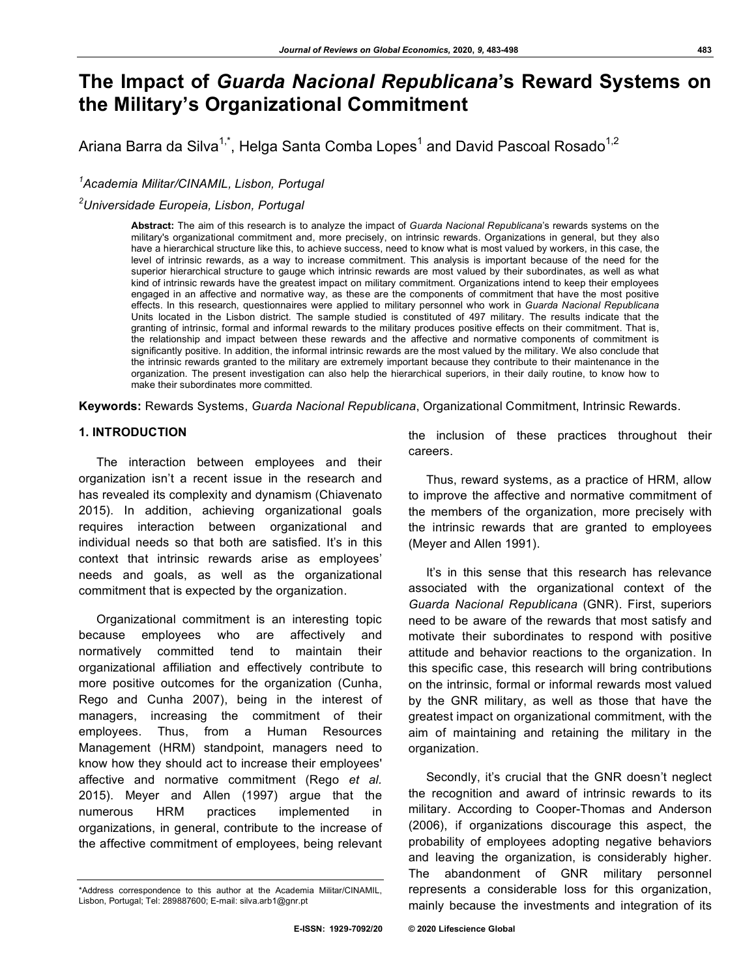# **The Impact of** *Guarda Nacional Republicana***'s Reward Systems on the Military's Organizational Commitment**

Ariana Barra da Silva $^{1,^*}$ , Helga Santa Comba Lopes $^1$  and David Pascoal Rosado $^{1,2}$ 

*1 Academia Militar/CINAMIL, Lisbon, Portugal*

*2 Universidade Europeia, Lisbon, Portugal*

**Abstract:** The aim of this research is to analyze the impact of *Guarda Nacional Republicana*'s rewards systems on the military's organizational commitment and, more precisely, on intrinsic rewards. Organizations in general, but they also have a hierarchical structure like this, to achieve success, need to know what is most valued by workers, in this case, the level of intrinsic rewards, as a way to increase commitment. This analysis is important because of the need for the superior hierarchical structure to gauge which intrinsic rewards are most valued by their subordinates, as well as what kind of intrinsic rewards have the greatest impact on military commitment. Organizations intend to keep their employees engaged in an affective and normative way, as these are the components of commitment that have the most positive effects. In this research, questionnaires were applied to military personnel who work in *Guarda Nacional Republicana* Units located in the Lisbon district. The sample studied is constituted of 497 military. The results indicate that the granting of intrinsic, formal and informal rewards to the military produces positive effects on their commitment. That is, the relationship and impact between these rewards and the affective and normative components of commitment is significantly positive. In addition, the informal intrinsic rewards are the most valued by the military. We also conclude that the intrinsic rewards granted to the military are extremely important because they contribute to their maintenance in the organization. The present investigation can also help the hierarchical superiors, in their daily routine, to know how to make their subordinates more committed.

**Keywords:** Rewards Systems, *Guarda Nacional Republicana*, Organizational Commitment, Intrinsic Rewards.

# **1. INTRODUCTION**

The interaction between employees and their organization isn't a recent issue in the research and has revealed its complexity and dynamism (Chiavenato 2015). In addition, achieving organizational goals requires interaction between organizational and individual needs so that both are satisfied. It's in this context that intrinsic rewards arise as employees' needs and goals, as well as the organizational commitment that is expected by the organization.

Organizational commitment is an interesting topic because employees who are affectively and normatively committed tend to maintain their organizational affiliation and effectively contribute to more positive outcomes for the organization (Cunha, Rego and Cunha 2007), being in the interest of managers, increasing the commitment of their employees. Thus, from a Human Resources Management (HRM) standpoint, managers need to know how they should act to increase their employees' affective and normative commitment (Rego *et al.* 2015). Meyer and Allen (1997) argue that the numerous HRM practices implemented in organizations, in general, contribute to the increase of the affective commitment of employees, being relevant

the inclusion of these practices throughout their careers.

Thus, reward systems, as a practice of HRM, allow to improve the affective and normative commitment of the members of the organization, more precisely with the intrinsic rewards that are granted to employees (Meyer and Allen 1991).

It's in this sense that this research has relevance associated with the organizational context of the *Guarda Nacional Republicana* (GNR). First, superiors need to be aware of the rewards that most satisfy and motivate their subordinates to respond with positive attitude and behavior reactions to the organization. In this specific case, this research will bring contributions on the intrinsic, formal or informal rewards most valued by the GNR military, as well as those that have the greatest impact on organizational commitment, with the aim of maintaining and retaining the military in the organization.

Secondly, it's crucial that the GNR doesn't neglect the recognition and award of intrinsic rewards to its military. According to Cooper-Thomas and Anderson (2006), if organizations discourage this aspect, the probability of employees adopting negative behaviors and leaving the organization, is considerably higher. The abandonment of GNR military personnel represents a considerable loss for this organization, mainly because the investments and integration of its

<sup>\*</sup>Address correspondence to this author at the Academia Militar/CINAMIL, Lisbon, Portugal; Tel: 289887600; E-mail: silva.arb1@gnr.pt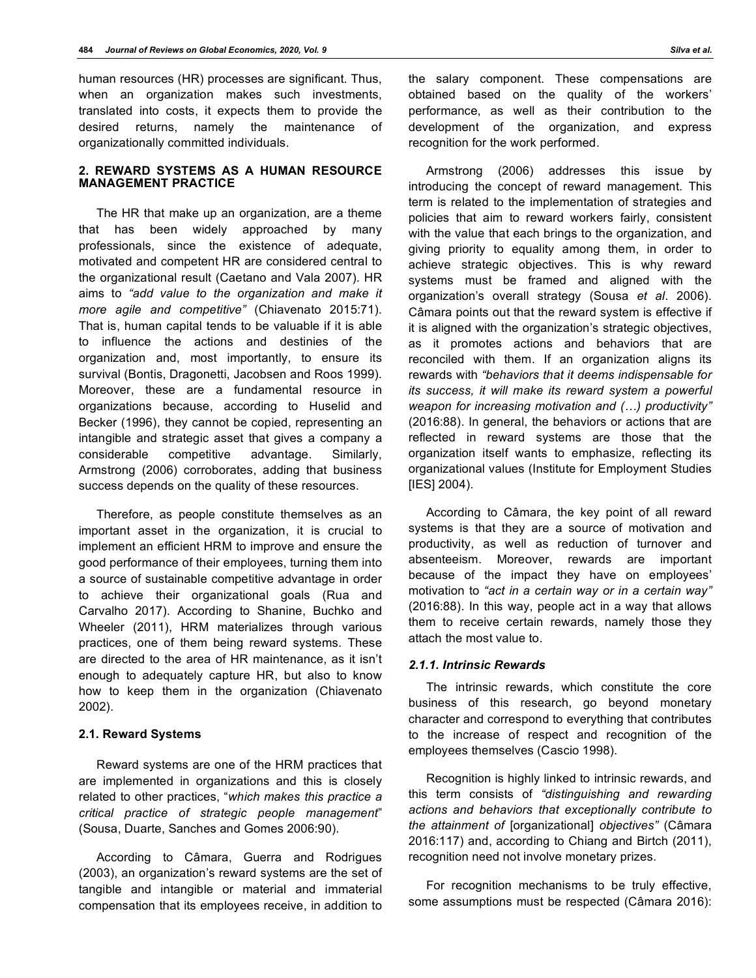human resources (HR) processes are significant. Thus, when an organization makes such investments, translated into costs, it expects them to provide the desired returns, namely the maintenance of organizationally committed individuals.

#### **2. REWARD SYSTEMS AS A HUMAN RESOURCE MANAGEMENT PRACTICE**

The HR that make up an organization, are a theme that has been widely approached by many professionals, since the existence of adequate, motivated and competent HR are considered central to the organizational result (Caetano and Vala 2007). HR aims to *"add value to the organization and make it more agile and competitive"* (Chiavenato 2015:71). That is, human capital tends to be valuable if it is able to influence the actions and destinies of the organization and, most importantly, to ensure its survival (Bontis, Dragonetti, Jacobsen and Roos 1999). Moreover, these are a fundamental resource in organizations because, according to Huselid and Becker (1996), they cannot be copied, representing an intangible and strategic asset that gives a company a considerable competitive advantage. Similarly, Armstrong (2006) corroborates, adding that business success depends on the quality of these resources.

Therefore, as people constitute themselves as an important asset in the organization, it is crucial to implement an efficient HRM to improve and ensure the good performance of their employees, turning them into a source of sustainable competitive advantage in order to achieve their organizational goals (Rua and Carvalho 2017). According to Shanine, Buchko and Wheeler (2011), HRM materializes through various practices, one of them being reward systems. These are directed to the area of HR maintenance, as it isn't enough to adequately capture HR, but also to know how to keep them in the organization (Chiavenato 2002).

# **2.1. Reward Systems**

Reward systems are one of the HRM practices that are implemented in organizations and this is closely related to other practices, "*which makes this practice a critical practice of strategic people management*" (Sousa, Duarte, Sanches and Gomes 2006:90).

According to Câmara, Guerra and Rodrigues (2003), an organization's reward systems are the set of tangible and intangible or material and immaterial compensation that its employees receive, in addition to

the salary component. These compensations are obtained based on the quality of the workers' performance, as well as their contribution to the development of the organization, and express recognition for the work performed.

Armstrong (2006) addresses this issue by introducing the concept of reward management. This term is related to the implementation of strategies and policies that aim to reward workers fairly, consistent with the value that each brings to the organization, and giving priority to equality among them, in order to achieve strategic objectives. This is why reward systems must be framed and aligned with the organization's overall strategy (Sousa *et al*. 2006). Câmara points out that the reward system is effective if it is aligned with the organization's strategic objectives, as it promotes actions and behaviors that are reconciled with them. If an organization aligns its rewards with *"behaviors that it deems indispensable for its success, it will make its reward system a powerful weapon for increasing motivation and (…) productivity"* (2016:88). In general, the behaviors or actions that are reflected in reward systems are those that the organization itself wants to emphasize, reflecting its organizational values (Institute for Employment Studies [IES] 2004).

According to Câmara, the key point of all reward systems is that they are a source of motivation and productivity, as well as reduction of turnover and absenteeism. Moreover, rewards are important because of the impact they have on employees' motivation to *"act in a certain way or in a certain way"* (2016:88). In this way, people act in a way that allows them to receive certain rewards, namely those they attach the most value to.

#### *2.1.1. Intrinsic Rewards*

The intrinsic rewards, which constitute the core business of this research, go beyond monetary character and correspond to everything that contributes to the increase of respect and recognition of the employees themselves (Cascio 1998).

Recognition is highly linked to intrinsic rewards, and this term consists of *"distinguishing and rewarding actions and behaviors that exceptionally contribute to the attainment of* [organizational] *objectives"* (Câmara 2016:117) and, according to Chiang and Birtch (2011), recognition need not involve monetary prizes.

For recognition mechanisms to be truly effective, some assumptions must be respected (Câmara 2016):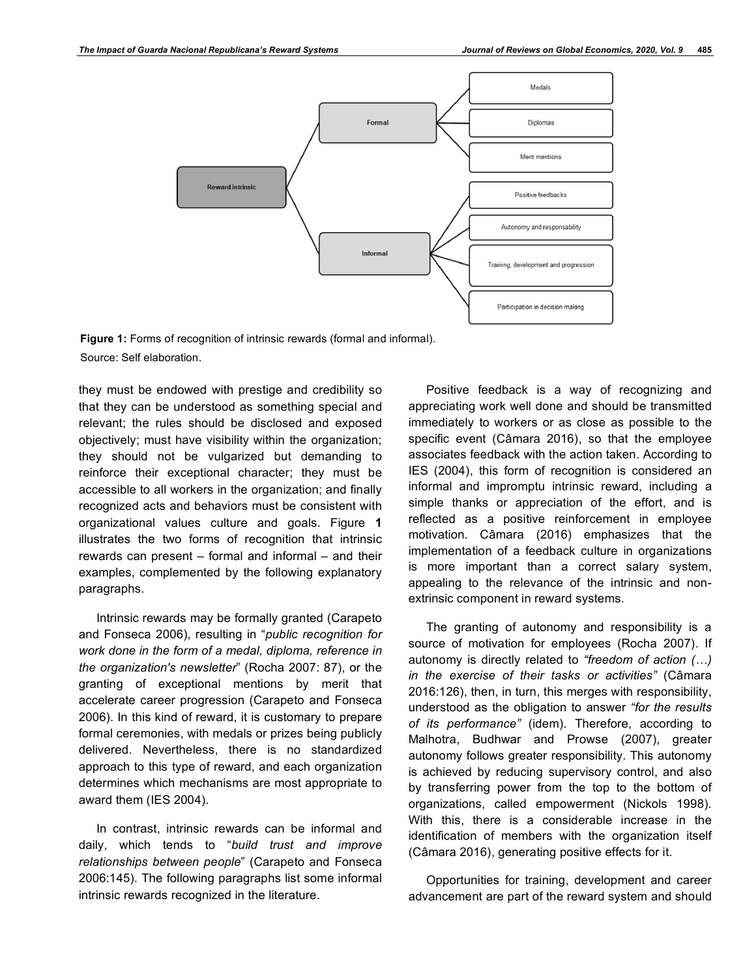

**Figure 1:** Forms of recognition of intrinsic rewards (formal and informal). Source: Self elaboration.

they must be endowed with prestige and credibility so that they can be understood as something special and relevant; the rules should be disclosed and exposed objectively; must have visibility within the organization; they should not be vulgarized but demanding to reinforce their exceptional character; they must be accessible to all workers in the organization; and finally recognized acts and behaviors must be consistent with organizational values culture and goals. Figure **1** illustrates the two forms of recognition that intrinsic rewards can present – formal and informal – and their examples, complemented by the following explanatory paragraphs.

Intrinsic rewards may be formally granted (Carapeto and Fonseca 2006), resulting in "*public recognition for work done in the form of a medal, diploma, reference in the organization's newsletter*" (Rocha 2007: 87), or the granting of exceptional mentions by merit that accelerate career progression (Carapeto and Fonseca 2006). In this kind of reward, it is customary to prepare formal ceremonies, with medals or prizes being publicly delivered. Nevertheless, there is no standardized approach to this type of reward, and each organization determines which mechanisms are most appropriate to award them (IES 2004).

In contrast, intrinsic rewards can be informal and daily, which tends to "*build trust and improve relationships between people*" (Carapeto and Fonseca 2006:145). The following paragraphs list some informal intrinsic rewards recognized in the literature.

Positive feedback is a way of recognizing and appreciating work well done and should be transmitted immediately to workers or as close as possible to the specific event (Câmara 2016), so that the employee associates feedback with the action taken. According to IES (2004), this form of recognition is considered an informal and impromptu intrinsic reward, including a simple thanks or appreciation of the effort, and is reflected as a positive reinforcement in employee motivation. Câmara (2016) emphasizes that the implementation of a feedback culture in organizations is more important than a correct salary system, appealing to the relevance of the intrinsic and nonextrinsic component in reward systems.

The granting of autonomy and responsibility is a source of motivation for employees (Rocha 2007). If autonomy is directly related to *"freedom of action (…) in the exercise of their tasks or activities"* (Câmara 2016:126), then, in turn, this merges with responsibility, understood as the obligation to answer *"for the results of its performance"* (idem). Therefore, according to Malhotra, Budhwar and Prowse (2007), greater autonomy follows greater responsibility. This autonomy is achieved by reducing supervisory control, and also by transferring power from the top to the bottom of organizations, called empowerment (Nickols 1998). With this, there is a considerable increase in the identification of members with the organization itself (Câmara 2016), generating positive effects for it.

Opportunities for training, development and career advancement are part of the reward system and should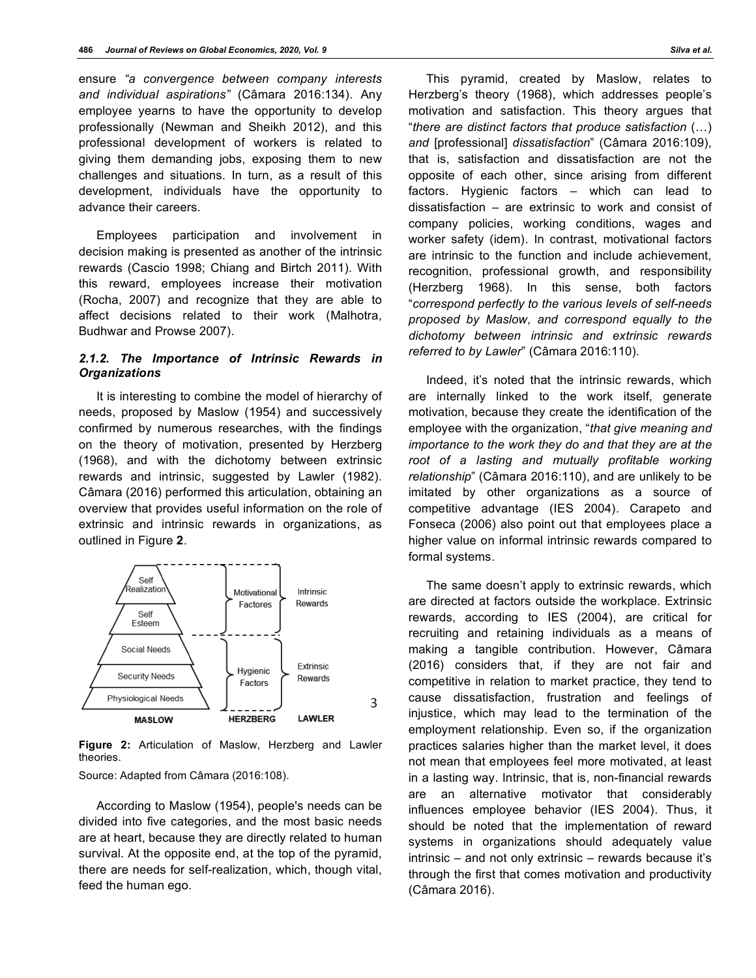ensure *"a convergence between company interests and individual aspirations"* (Câmara 2016:134). Any employee yearns to have the opportunity to develop professionally (Newman and Sheikh 2012), and this professional development of workers is related to giving them demanding jobs, exposing them to new challenges and situations. In turn, as a result of this development, individuals have the opportunity to advance their careers.

Employees participation and involvement in decision making is presented as another of the intrinsic rewards (Cascio 1998; Chiang and Birtch 2011). With this reward, employees increase their motivation (Rocha, 2007) and recognize that they are able to affect decisions related to their work (Malhotra, Budhwar and Prowse 2007).

# *2.1.2. The Importance of Intrinsic Rewards in Organizations*

It is interesting to combine the model of hierarchy of needs, proposed by Maslow (1954) and successively confirmed by numerous researches, with the findings on the theory of motivation, presented by Herzberg (1968), and with the dichotomy between extrinsic rewards and intrinsic, suggested by Lawler (1982). Câmara (2016) performed this articulation, obtaining an overview that provides useful information on the role of extrinsic and intrinsic rewards in organizations, as outlined in Figure **2**.



**Figure 2:** Articulation of Maslow, Herzberg and Lawler theories.

Source: Adapted from Câmara (2016:108).

According to Maslow (1954), people's needs can be divided into five categories, and the most basic needs are at heart, because they are directly related to human survival. At the opposite end, at the top of the pyramid, there are needs for self-realization, which, though vital, feed the human ego.

This pyramid, created by Maslow, relates to Herzberg's theory (1968), which addresses people's motivation and satisfaction. This theory argues that "*there are distinct factors that produce satisfaction* (…) *and* [professional] *dissatisfaction*" (Câmara 2016:109), that is, satisfaction and dissatisfaction are not the opposite of each other, since arising from different factors. Hygienic factors – which can lead to dissatisfaction – are extrinsic to work and consist of company policies, working conditions, wages and worker safety (idem). In contrast, motivational factors are intrinsic to the function and include achievement, recognition, professional growth, and responsibility (Herzberg 1968). In this sense, both factors "*correspond perfectly to the various levels of self-needs proposed by Maslow, and correspond equally to the dichotomy between intrinsic and extrinsic rewards referred to by Lawler*" (Câmara 2016:110).

Indeed, it's noted that the intrinsic rewards, which are internally linked to the work itself, generate motivation, because they create the identification of the employee with the organization, "*that give meaning and importance to the work they do and that they are at the root of a lasting and mutually profitable working relationship*" (Câmara 2016:110), and are unlikely to be imitated by other organizations as a source of competitive advantage (IES 2004). Carapeto and Fonseca (2006) also point out that employees place a higher value on informal intrinsic rewards compared to formal systems.

The same doesn't apply to extrinsic rewards, which are directed at factors outside the workplace. Extrinsic rewards, according to IES (2004), are critical for recruiting and retaining individuals as a means of making a tangible contribution. However, Câmara (2016) considers that, if they are not fair and competitive in relation to market practice, they tend to cause dissatisfaction, frustration and feelings of injustice, which may lead to the termination of the employment relationship. Even so, if the organization practices salaries higher than the market level, it does not mean that employees feel more motivated, at least in a lasting way. Intrinsic, that is, non-financial rewards are an alternative motivator that considerably influences employee behavior (IES 2004). Thus, it should be noted that the implementation of reward systems in organizations should adequately value intrinsic – and not only extrinsic – rewards because it's through the first that comes motivation and productivity (Câmara 2016).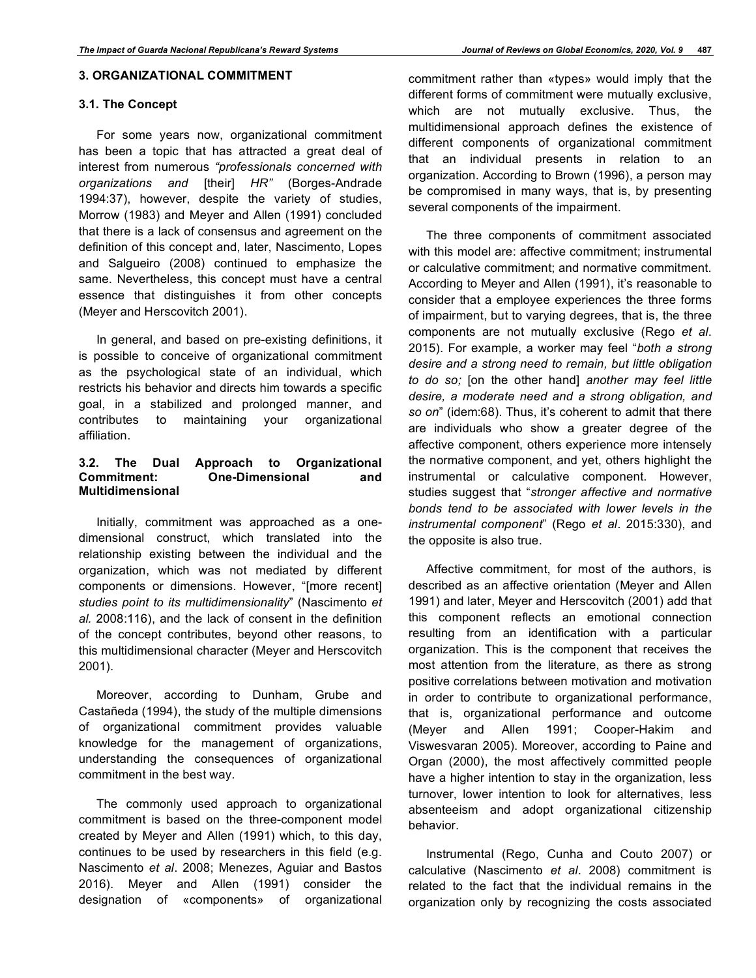#### **3. ORGANIZATIONAL COMMITMENT**

#### **3.1. The Concept**

For some years now, organizational commitment has been a topic that has attracted a great deal of interest from numerous *"professionals concerned with organizations and* [their] *HR"* (Borges-Andrade 1994:37), however, despite the variety of studies, Morrow (1983) and Meyer and Allen (1991) concluded that there is a lack of consensus and agreement on the definition of this concept and, later, Nascimento, Lopes and Salgueiro (2008) continued to emphasize the same. Nevertheless, this concept must have a central essence that distinguishes it from other concepts (Meyer and Herscovitch 2001).

In general, and based on pre-existing definitions, it is possible to conceive of organizational commitment as the psychological state of an individual, which restricts his behavior and directs him towards a specific goal, in a stabilized and prolonged manner, and contributes to maintaining your organizational affiliation.

# **3.2. The Dual Approach to Organizational Commitment: One-Dimensional and Multidimensional**

Initially, commitment was approached as a onedimensional construct, which translated into the relationship existing between the individual and the organization, which was not mediated by different components or dimensions. However, "[more recent] *studies point to its multidimensionality*" (Nascimento *et al.* 2008:116), and the lack of consent in the definition of the concept contributes, beyond other reasons, to this multidimensional character (Meyer and Herscovitch 2001).

Moreover, according to Dunham, Grube and Castañeda (1994), the study of the multiple dimensions of organizational commitment provides valuable knowledge for the management of organizations, understanding the consequences of organizational commitment in the best way.

The commonly used approach to organizational commitment is based on the three-component model created by Meyer and Allen (1991) which, to this day, continues to be used by researchers in this field (e.g. Nascimento *et al*. 2008; Menezes, Aguiar and Bastos 2016). Meyer and Allen (1991) consider the designation of «components» of organizational commitment rather than «types» would imply that the different forms of commitment were mutually exclusive, which are not mutually exclusive. Thus, the multidimensional approach defines the existence of different components of organizational commitment that an individual presents in relation to an organization. According to Brown (1996), a person may be compromised in many ways, that is, by presenting several components of the impairment.

The three components of commitment associated with this model are: affective commitment; instrumental or calculative commitment; and normative commitment. According to Meyer and Allen (1991), it's reasonable to consider that a employee experiences the three forms of impairment, but to varying degrees, that is, the three components are not mutually exclusive (Rego *et al*. 2015). For example, a worker may feel "*both a strong desire and a strong need to remain, but little obligation to do so;* [on the other hand] *another may feel little desire, a moderate need and a strong obligation, and so on*" (idem:68). Thus, it's coherent to admit that there are individuals who show a greater degree of the affective component, others experience more intensely the normative component, and yet, others highlight the instrumental or calculative component. However, studies suggest that "*stronger affective and normative bonds tend to be associated with lower levels in the instrumental component*" (Rego *et al*. 2015:330), and the opposite is also true.

Affective commitment, for most of the authors, is described as an affective orientation (Meyer and Allen 1991) and later, Meyer and Herscovitch (2001) add that this component reflects an emotional connection resulting from an identification with a particular organization. This is the component that receives the most attention from the literature, as there as strong positive correlations between motivation and motivation in order to contribute to organizational performance, that is, organizational performance and outcome (Meyer and Allen 1991; Cooper-Hakim and Viswesvaran 2005). Moreover, according to Paine and Organ (2000), the most affectively committed people have a higher intention to stay in the organization, less turnover, lower intention to look for alternatives, less absenteeism and adopt organizational citizenship behavior.

Instrumental (Rego, Cunha and Couto 2007) or calculative (Nascimento *et al*. 2008) commitment is related to the fact that the individual remains in the organization only by recognizing the costs associated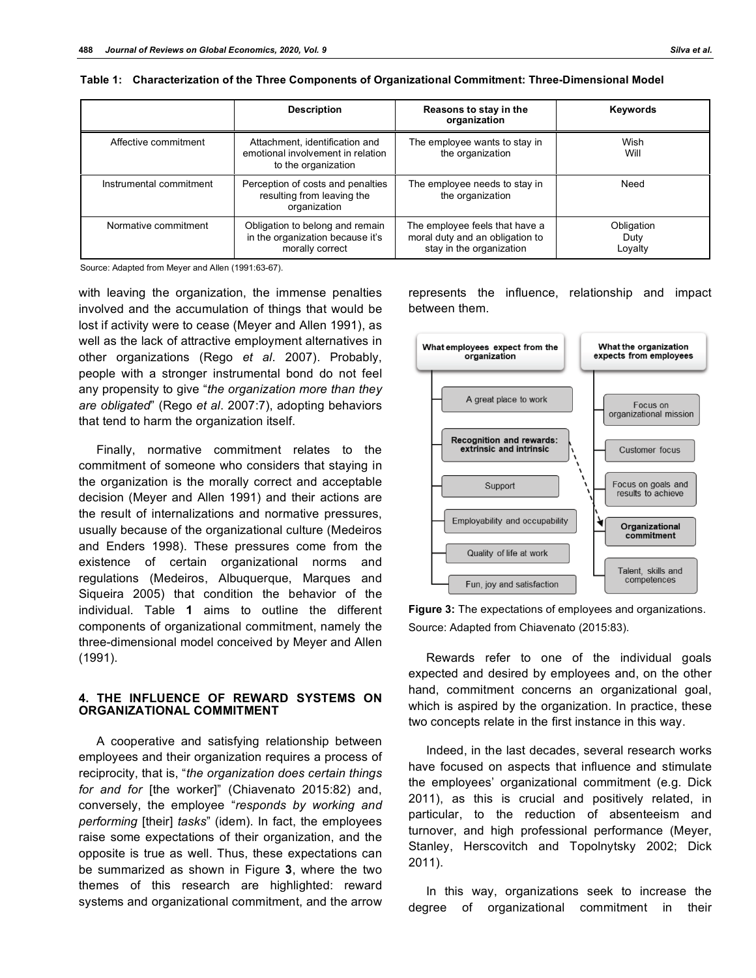|                         | <b>Description</b>                                                                         | Reasons to stay in the<br>organization                                                        | Keywords                      |
|-------------------------|--------------------------------------------------------------------------------------------|-----------------------------------------------------------------------------------------------|-------------------------------|
| Affective commitment    | Attachment, identification and<br>emotional involvement in relation<br>to the organization | The employee wants to stay in<br>the organization                                             | Wish<br>Will                  |
| Instrumental commitment | Perception of costs and penalties<br>resulting from leaving the<br>organization            | The employee needs to stay in<br>the organization                                             | Need                          |
| Normative commitment    | Obligation to belong and remain<br>in the organization because it's<br>morally correct     | The employee feels that have a<br>moral duty and an obligation to<br>stay in the organization | Obligation<br>Duty<br>Lovalty |

| Table 1: Characterization of the Three Components of Organizational Commitment: Three-Dimensional Model |  |  |  |
|---------------------------------------------------------------------------------------------------------|--|--|--|
|                                                                                                         |  |  |  |

Source: Adapted from Meyer and Allen (1991:63-67).

with leaving the organization, the immense penalties involved and the accumulation of things that would be lost if activity were to cease (Meyer and Allen 1991), as well as the lack of attractive employment alternatives in other organizations (Rego *et al*. 2007). Probably, people with a stronger instrumental bond do not feel any propensity to give "*the organization more than they are obligated*" (Rego *et al*. 2007:7), adopting behaviors that tend to harm the organization itself.

Finally, normative commitment relates to the commitment of someone who considers that staying in the organization is the morally correct and acceptable decision (Meyer and Allen 1991) and their actions are the result of internalizations and normative pressures, usually because of the organizational culture (Medeiros and Enders 1998). These pressures come from the existence of certain organizational norms and regulations (Medeiros, Albuquerque, Marques and Siqueira 2005) that condition the behavior of the individual. Table **1** aims to outline the different components of organizational commitment, namely the three-dimensional model conceived by Meyer and Allen (1991).

#### **4. THE INFLUENCE OF REWARD SYSTEMS ON ORGANIZATIONAL COMMITMENT**

A cooperative and satisfying relationship between employees and their organization requires a process of reciprocity, that is, "*the organization does certain things for and for* [the worker]" (Chiavenato 2015:82) and, conversely, the employee "*responds by working and performing* [their] *tasks*" (idem). In fact, the employees raise some expectations of their organization, and the opposite is true as well. Thus, these expectations can be summarized as shown in Figure **3**, where the two themes of this research are highlighted: reward systems and organizational commitment, and the arrow

represents the influence, relationship and impact between them.



**Figure 3:** The expectations of employees and organizations. Source: Adapted from Chiavenato (2015:83).

Rewards refer to one of the individual goals expected and desired by employees and, on the other hand, commitment concerns an organizational goal, which is aspired by the organization. In practice, these two concepts relate in the first instance in this way.

Indeed, in the last decades, several research works have focused on aspects that influence and stimulate the employees' organizational commitment (e.g. Dick 2011), as this is crucial and positively related, in particular, to the reduction of absenteeism and turnover, and high professional performance (Meyer, Stanley, Herscovitch and Topolnytsky 2002; Dick 2011).

In this way, organizations seek to increase the degree of organizational commitment in their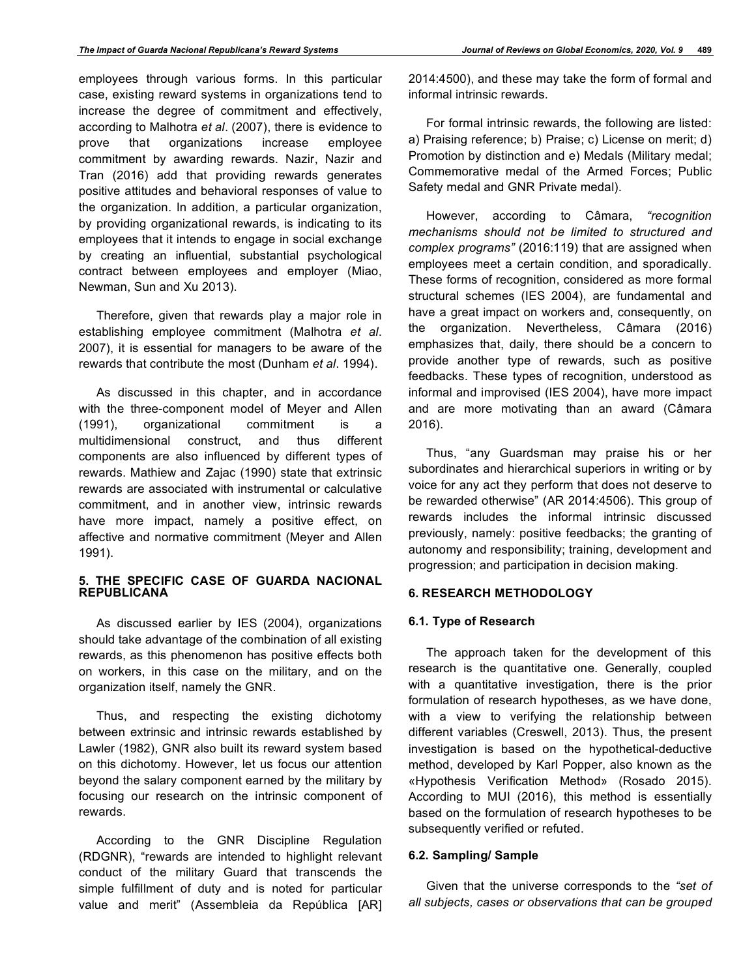employees through various forms. In this particular case, existing reward systems in organizations tend to increase the degree of commitment and effectively, according to Malhotra *et al*. (2007), there is evidence to prove that organizations increase employee commitment by awarding rewards. Nazir, Nazir and Tran (2016) add that providing rewards generates positive attitudes and behavioral responses of value to the organization. In addition, a particular organization, by providing organizational rewards, is indicating to its employees that it intends to engage in social exchange by creating an influential, substantial psychological contract between employees and employer (Miao, Newman, Sun and Xu 2013).

Therefore, given that rewards play a major role in establishing employee commitment (Malhotra *et al*. 2007), it is essential for managers to be aware of the rewards that contribute the most (Dunham *et al*. 1994).

As discussed in this chapter, and in accordance with the three-component model of Meyer and Allen (1991), organizational commitment is a multidimensional construct, and thus different components are also influenced by different types of rewards. Mathiew and Zajac (1990) state that extrinsic rewards are associated with instrumental or calculative commitment, and in another view, intrinsic rewards have more impact, namely a positive effect, on affective and normative commitment (Meyer and Allen 1991).

#### **5. THE SPECIFIC CASE OF GUARDA NACIONAL REPUBLICANA**

As discussed earlier by IES (2004), organizations should take advantage of the combination of all existing rewards, as this phenomenon has positive effects both on workers, in this case on the military, and on the organization itself, namely the GNR.

Thus, and respecting the existing dichotomy between extrinsic and intrinsic rewards established by Lawler (1982), GNR also built its reward system based on this dichotomy. However, let us focus our attention beyond the salary component earned by the military by focusing our research on the intrinsic component of rewards.

According to the GNR Discipline Regulation (RDGNR), "rewards are intended to highlight relevant conduct of the military Guard that transcends the simple fulfillment of duty and is noted for particular value and merit" (Assembleia da República [AR] 2014:4500), and these may take the form of formal and informal intrinsic rewards.

For formal intrinsic rewards, the following are listed: a) Praising reference; b) Praise; c) License on merit; d) Promotion by distinction and e) Medals (Military medal; Commemorative medal of the Armed Forces; Public Safety medal and GNR Private medal).

However, according to Câmara, *"recognition mechanisms should not be limited to structured and complex programs"* (2016:119) that are assigned when employees meet a certain condition, and sporadically. These forms of recognition, considered as more formal structural schemes (IES 2004), are fundamental and have a great impact on workers and, consequently, on the organization. Nevertheless, Câmara (2016) emphasizes that, daily, there should be a concern to provide another type of rewards, such as positive feedbacks. These types of recognition, understood as informal and improvised (IES 2004), have more impact and are more motivating than an award (Câmara 2016).

Thus, "any Guardsman may praise his or her subordinates and hierarchical superiors in writing or by voice for any act they perform that does not deserve to be rewarded otherwise" (AR 2014:4506). This group of rewards includes the informal intrinsic discussed previously, namely: positive feedbacks; the granting of autonomy and responsibility; training, development and progression; and participation in decision making.

#### **6. RESEARCH METHODOLOGY**

#### **6.1. Type of Research**

The approach taken for the development of this research is the quantitative one. Generally, coupled with a quantitative investigation, there is the prior formulation of research hypotheses, as we have done, with a view to verifying the relationship between different variables (Creswell, 2013). Thus, the present investigation is based on the hypothetical-deductive method, developed by Karl Popper, also known as the «Hypothesis Verification Method» (Rosado 2015). According to MUI (2016), this method is essentially based on the formulation of research hypotheses to be subsequently verified or refuted.

# **6.2. Sampling/ Sample**

Given that the universe corresponds to the *"set of all subjects, cases or observations that can be grouped*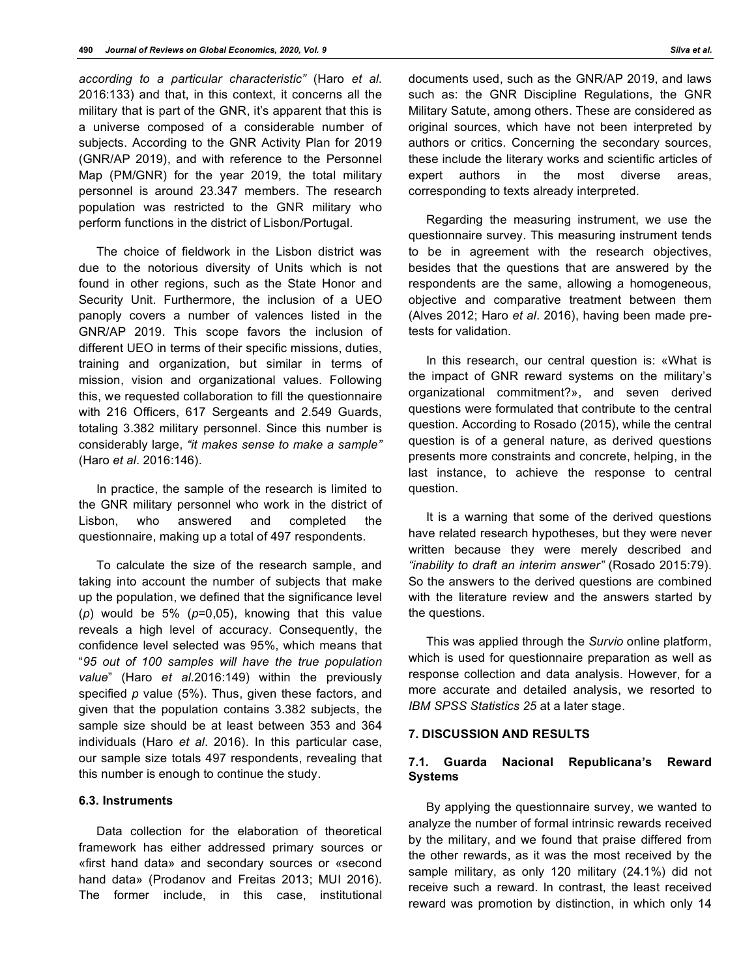*according to a particular characteristic"* (Haro *et al*. 2016:133) and that, in this context, it concerns all the military that is part of the GNR, it's apparent that this is a universe composed of a considerable number of subjects. According to the GNR Activity Plan for 2019 (GNR/AP 2019), and with reference to the Personnel Map (PM/GNR) for the year 2019, the total military personnel is around 23.347 members. The research population was restricted to the GNR military who perform functions in the district of Lisbon/Portugal.

The choice of fieldwork in the Lisbon district was due to the notorious diversity of Units which is not found in other regions, such as the State Honor and Security Unit. Furthermore, the inclusion of a UEO panoply covers a number of valences listed in the GNR/AP 2019. This scope favors the inclusion of different UEO in terms of their specific missions, duties, training and organization, but similar in terms of mission, vision and organizational values. Following this, we requested collaboration to fill the questionnaire with 216 Officers, 617 Sergeants and 2.549 Guards, totaling 3.382 military personnel. Since this number is considerably large, *"it makes sense to make a sample"* (Haro *et al*. 2016:146).

In practice, the sample of the research is limited to the GNR military personnel who work in the district of Lisbon, who answered and completed the questionnaire, making up a total of 497 respondents.

To calculate the size of the research sample, and taking into account the number of subjects that make up the population, we defined that the significance level (*p*) would be 5% (*p*=0,05), knowing that this value reveals a high level of accuracy. Consequently, the confidence level selected was 95%, which means that "*95 out of 100 samples will have the true population value*" (Haro *et al*.2016:149) within the previously specified *p* value (5%). Thus, given these factors, and given that the population contains 3.382 subjects, the sample size should be at least between 353 and 364 individuals (Haro *et al*. 2016). In this particular case, our sample size totals 497 respondents, revealing that this number is enough to continue the study.

## **6.3. Instruments**

Data collection for the elaboration of theoretical framework has either addressed primary sources or «first hand data» and secondary sources or «second hand data» (Prodanov and Freitas 2013; MUI 2016). The former include, in this case, institutional

Regarding the measuring instrument, we use the questionnaire survey. This measuring instrument tends to be in agreement with the research objectives, besides that the questions that are answered by the respondents are the same, allowing a homogeneous, objective and comparative treatment between them (Alves 2012; Haro *et al*. 2016), having been made pretests for validation.

corresponding to texts already interpreted.

In this research, our central question is: «What is the impact of GNR reward systems on the military's organizational commitment?», and seven derived questions were formulated that contribute to the central question. According to Rosado (2015), while the central question is of a general nature, as derived questions presents more constraints and concrete, helping, in the last instance, to achieve the response to central question.

It is a warning that some of the derived questions have related research hypotheses, but they were never written because they were merely described and *"inability to draft an interim answer"* (Rosado 2015:79). So the answers to the derived questions are combined with the literature review and the answers started by the questions.

This was applied through the *Survio* online platform, which is used for questionnaire preparation as well as response collection and data analysis. However, for a more accurate and detailed analysis, we resorted to *IBM SPSS Statistics 25* at a later stage.

# **7. DISCUSSION AND RESULTS**

# **7.1. Guarda Nacional Republicana's Reward Systems**

By applying the questionnaire survey, we wanted to analyze the number of formal intrinsic rewards received by the military, and we found that praise differed from the other rewards, as it was the most received by the sample military, as only 120 military (24.1%) did not receive such a reward. In contrast, the least received reward was promotion by distinction, in which only 14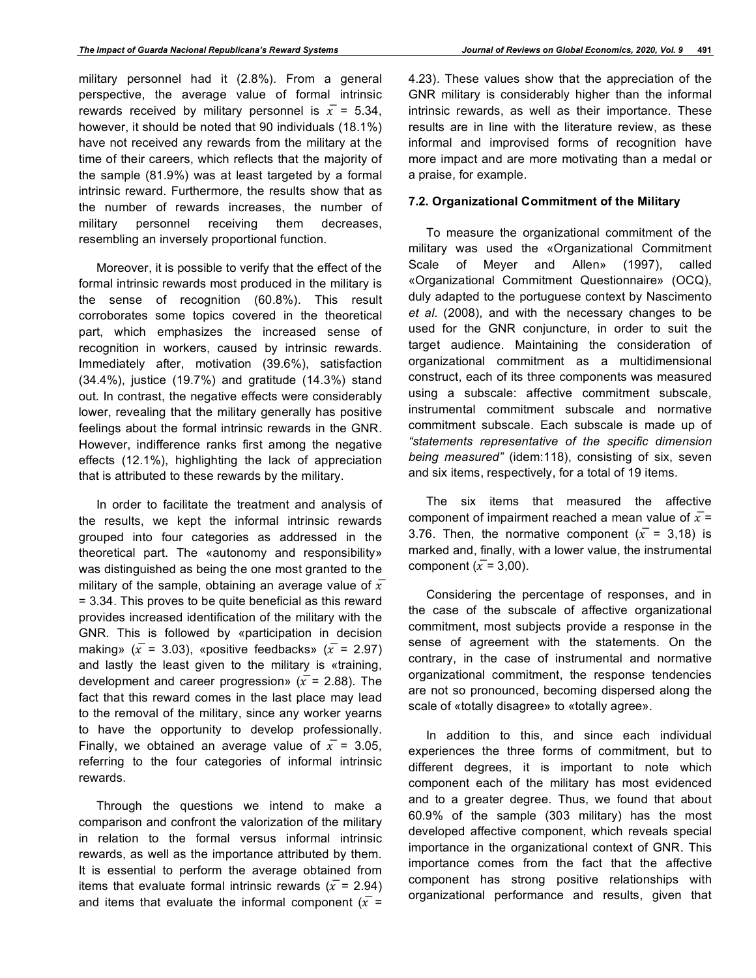military personnel had it (2.8%). From a general perspective, the average value of formal intrinsic rewards received by military personnel is  $\bar{x}$  = 5.34, however, it should be noted that 90 individuals (18.1%) have not received any rewards from the military at the time of their careers, which reflects that the majority of the sample (81.9%) was at least targeted by a formal intrinsic reward. Furthermore, the results show that as the number of rewards increases, the number of military personnel receiving them decreases, resembling an inversely proportional function.

Moreover, it is possible to verify that the effect of the formal intrinsic rewards most produced in the military is the sense of recognition (60.8%). This result corroborates some topics covered in the theoretical part, which emphasizes the increased sense of recognition in workers, caused by intrinsic rewards. Immediately after, motivation (39.6%), satisfaction (34.4%), justice (19.7%) and gratitude (14.3%) stand out. In contrast, the negative effects were considerably lower, revealing that the military generally has positive feelings about the formal intrinsic rewards in the GNR. However, indifference ranks first among the negative effects (12.1%), highlighting the lack of appreciation that is attributed to these rewards by the military.

In order to facilitate the treatment and analysis of the results, we kept the informal intrinsic rewards grouped into four categories as addressed in the theoretical part. The «autonomy and responsibility» was distinguished as being the one most granted to the military of the sample, obtaining an average value of  $\overline{x}$ = 3.34. This proves to be quite beneficial as this reward provides increased identification of the military with the GNR. This is followed by «participation in decision making» ( $\bar{x}$  = 3.03), «positive feedbacks» ( $\bar{x}$  = 2.97) and lastly the least given to the military is «training, development and career progression» ( $\bar{x}$  = 2.88). The fact that this reward comes in the last place may lead to the removal of the military, since any worker yearns to have the opportunity to develop professionally. Finally, we obtained an average value of  $\bar{x}$  = 3.05, referring to the four categories of informal intrinsic rewards.

Through the questions we intend to make a comparison and confront the valorization of the military in relation to the formal versus informal intrinsic rewards, as well as the importance attributed by them. It is essential to perform the average obtained from items that evaluate formal intrinsic rewards ( $\bar{x}$  = 2.94) and items that evaluate the informal component ( $\bar{x}$  =

4.23). These values show that the appreciation of the GNR military is considerably higher than the informal intrinsic rewards, as well as their importance. These results are in line with the literature review, as these informal and improvised forms of recognition have more impact and are more motivating than a medal or a praise, for example.

#### **7.2. Organizational Commitment of the Military**

To measure the organizational commitment of the military was used the «Organizational Commitment Scale of Meyer and Allen» (1997), called «Organizational Commitment Questionnaire» (OCQ), duly adapted to the portuguese context by Nascimento *et al*. (2008), and with the necessary changes to be used for the GNR conjuncture, in order to suit the target audience. Maintaining the consideration of organizational commitment as a multidimensional construct, each of its three components was measured using a subscale: affective commitment subscale, instrumental commitment subscale and normative commitment subscale. Each subscale is made up of *"statements representative of the specific dimension being measured"* (idem:118), consisting of six, seven and six items, respectively, for a total of 19 items.

The six items that measured the affective component of impairment reached a mean value of  $\bar{x}$  = 3.76. Then, the normative component ( $\bar{x}$  = 3,18) is marked and, finally, with a lower value, the instrumental component ( $\bar{x}$  = 3,00).

Considering the percentage of responses, and in the case of the subscale of affective organizational commitment, most subjects provide a response in the sense of agreement with the statements. On the contrary, in the case of instrumental and normative organizational commitment, the response tendencies are not so pronounced, becoming dispersed along the scale of «totally disagree» to «totally agree».

In addition to this, and since each individual experiences the three forms of commitment, but to different degrees, it is important to note which component each of the military has most evidenced and to a greater degree. Thus, we found that about 60.9% of the sample (303 military) has the most developed affective component, which reveals special importance in the organizational context of GNR. This importance comes from the fact that the affective component has strong positive relationships with organizational performance and results, given that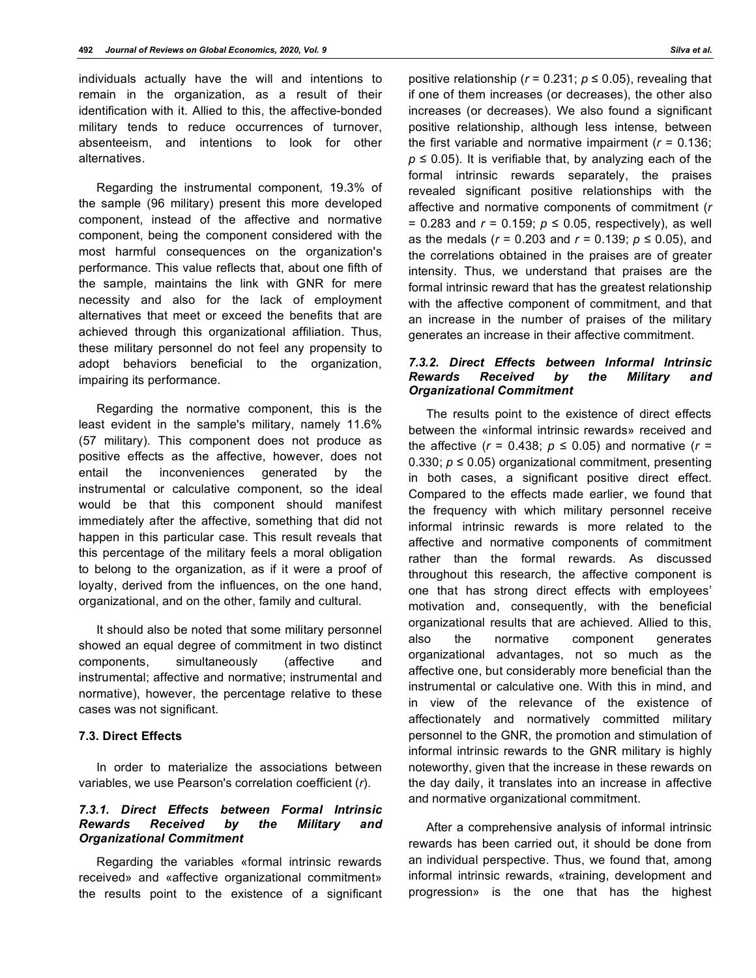individuals actually have the will and intentions to remain in the organization, as a result of their identification with it. Allied to this, the affective-bonded military tends to reduce occurrences of turnover, absenteeism, and intentions to look for other alternatives.

Regarding the instrumental component, 19.3% of the sample (96 military) present this more developed component, instead of the affective and normative component, being the component considered with the most harmful consequences on the organization's performance. This value reflects that, about one fifth of the sample, maintains the link with GNR for mere necessity and also for the lack of employment alternatives that meet or exceed the benefits that are achieved through this organizational affiliation. Thus, these military personnel do not feel any propensity to adopt behaviors beneficial to the organization, impairing its performance.

Regarding the normative component, this is the least evident in the sample's military, namely 11.6% (57 military). This component does not produce as positive effects as the affective, however, does not entail the inconveniences generated by the instrumental or calculative component, so the ideal would be that this component should manifest immediately after the affective, something that did not happen in this particular case. This result reveals that this percentage of the military feels a moral obligation to belong to the organization, as if it were a proof of loyalty, derived from the influences, on the one hand, organizational, and on the other, family and cultural.

It should also be noted that some military personnel showed an equal degree of commitment in two distinct components, simultaneously (affective and instrumental; affective and normative; instrumental and normative), however, the percentage relative to these cases was not significant.

#### **7.3. Direct Effects**

In order to materialize the associations between variables, we use Pearson's correlation coefficient (*r*).

# *7.3.1. Direct Effects between Formal Intrinsic Rewards Received by the Military and Organizational Commitment*

Regarding the variables «formal intrinsic rewards received» and «affective organizational commitment» the results point to the existence of a significant positive relationship ( $r = 0.231$ ;  $p \le 0.05$ ), revealing that if one of them increases (or decreases), the other also increases (or decreases). We also found a significant positive relationship, although less intense, between the first variable and normative impairment (*r* = 0.136;  $p \le 0.05$ ). It is verifiable that, by analyzing each of the formal intrinsic rewards separately, the praises revealed significant positive relationships with the affective and normative components of commitment (*r* = 0.283 and  $r = 0.159$ ;  $p \le 0.05$ , respectively), as well as the medals (*r* = 0.203 and *r* = 0.139; *p* ≤ 0.05), and the correlations obtained in the praises are of greater intensity. Thus, we understand that praises are the formal intrinsic reward that has the greatest relationship with the affective component of commitment, and that an increase in the number of praises of the military generates an increase in their affective commitment.

# *7.3.2. Direct Effects between Informal Intrinsic Rewards Received by the Military and Organizational Commitment*

The results point to the existence of direct effects between the «informal intrinsic rewards» received and the affective  $(r = 0.438; p \le 0.05)$  and normative  $(r =$ 0.330;  $p \le 0.05$ ) organizational commitment, presenting in both cases, a significant positive direct effect. Compared to the effects made earlier, we found that the frequency with which military personnel receive informal intrinsic rewards is more related to the affective and normative components of commitment rather than the formal rewards. As discussed throughout this research, the affective component is one that has strong direct effects with employees' motivation and, consequently, with the beneficial organizational results that are achieved. Allied to this, also the normative component generates organizational advantages, not so much as the affective one, but considerably more beneficial than the instrumental or calculative one. With this in mind, and in view of the relevance of the existence of affectionately and normatively committed military personnel to the GNR, the promotion and stimulation of informal intrinsic rewards to the GNR military is highly noteworthy, given that the increase in these rewards on the day daily, it translates into an increase in affective and normative organizational commitment.

After a comprehensive analysis of informal intrinsic rewards has been carried out, it should be done from an individual perspective. Thus, we found that, among informal intrinsic rewards, «training, development and progression» is the one that has the highest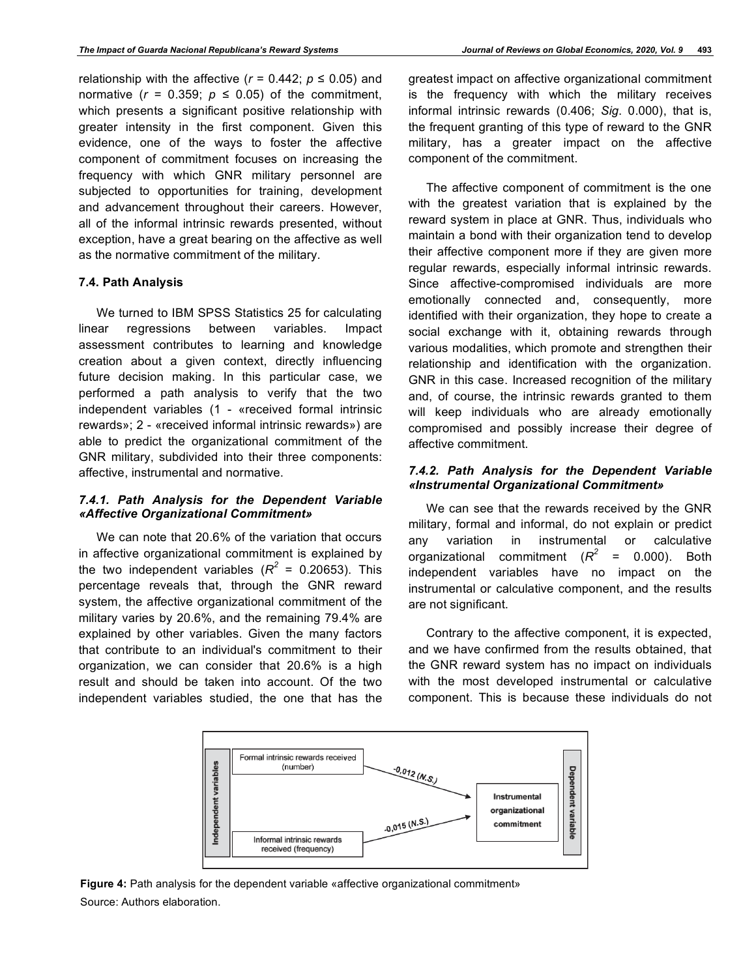relationship with the affective ( $r = 0.442$ ;  $p \le 0.05$ ) and normative  $(r = 0.359; p \le 0.05)$  of the commitment, which presents a significant positive relationship with greater intensity in the first component. Given this evidence, one of the ways to foster the affective component of commitment focuses on increasing the frequency with which GNR military personnel are subjected to opportunities for training, development and advancement throughout their careers. However, all of the informal intrinsic rewards presented, without exception, have a great bearing on the affective as well as the normative commitment of the military.

## **7.4. Path Analysis**

We turned to IBM SPSS Statistics 25 for calculating linear regressions between variables. Impact assessment contributes to learning and knowledge creation about a given context, directly influencing future decision making. In this particular case, we performed a path analysis to verify that the two independent variables (1 - «received formal intrinsic rewards»; 2 - «received informal intrinsic rewards») are able to predict the organizational commitment of the GNR military, subdivided into their three components: affective, instrumental and normative.

# *7.4.1. Path Analysis for the Dependent Variable «Affective Organizational Commitment»*

We can note that 20.6% of the variation that occurs in affective organizational commitment is explained by the two independent variables ( $R^2$  = 0.20653). This percentage reveals that, through the GNR reward system, the affective organizational commitment of the military varies by 20.6%, and the remaining 79.4% are explained by other variables. Given the many factors that contribute to an individual's commitment to their organization, we can consider that 20.6% is a high result and should be taken into account. Of the two independent variables studied, the one that has the

greatest impact on affective organizational commitment is the frequency with which the military receives informal intrinsic rewards (0.406; *Sig*. 0.000), that is, the frequent granting of this type of reward to the GNR military, has a greater impact on the affective component of the commitment.

The affective component of commitment is the one with the greatest variation that is explained by the reward system in place at GNR. Thus, individuals who maintain a bond with their organization tend to develop their affective component more if they are given more regular rewards, especially informal intrinsic rewards. Since affective-compromised individuals are more emotionally connected and, consequently, more identified with their organization, they hope to create a social exchange with it, obtaining rewards through various modalities, which promote and strengthen their relationship and identification with the organization. GNR in this case. Increased recognition of the military and, of course, the intrinsic rewards granted to them will keep individuals who are already emotionally compromised and possibly increase their degree of affective commitment.

## *7.4.2. Path Analysis for the Dependent Variable «Instrumental Organizational Commitment»*

We can see that the rewards received by the GNR military, formal and informal, do not explain or predict any variation in instrumental or calculative organizational commitment (*R<sup>2</sup>* = 0.000). Both independent variables have no impact on the instrumental or calculative component, and the results are not significant.

Contrary to the affective component, it is expected, and we have confirmed from the results obtained, that the GNR reward system has no impact on individuals with the most developed instrumental or calculative component. This is because these individuals do not



**Figure 4:** Path analysis for the dependent variable «affective organizational commitment» Source: Authors elaboration.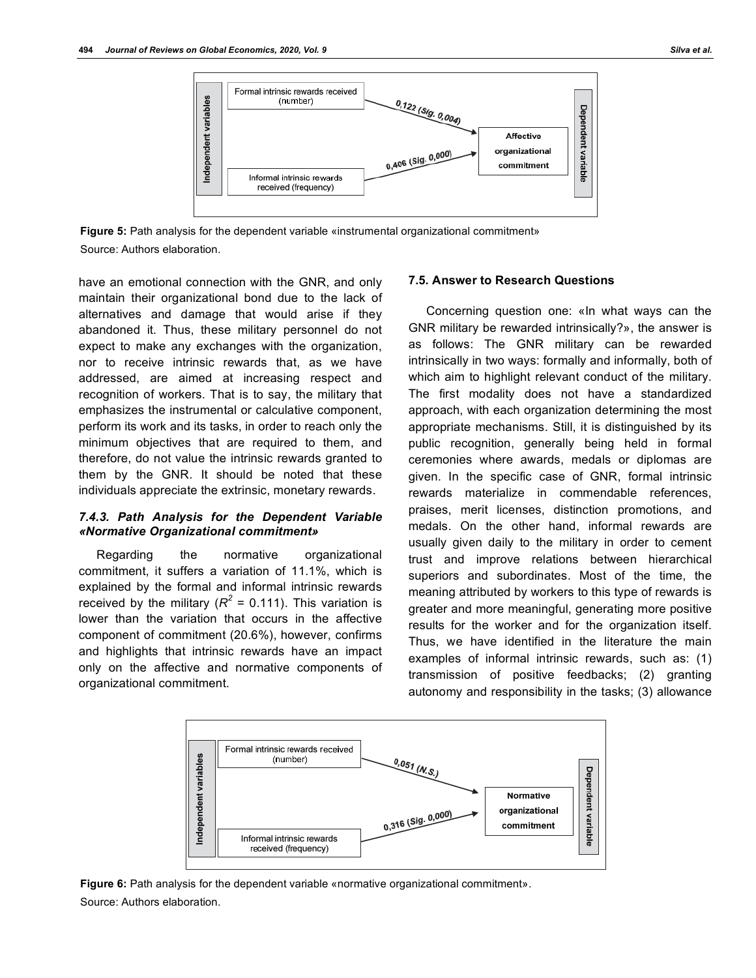

**Figure 5:** Path analysis for the dependent variable «instrumental organizational commitment» Source: Authors elaboration.

have an emotional connection with the GNR, and only maintain their organizational bond due to the lack of alternatives and damage that would arise if they abandoned it. Thus, these military personnel do not expect to make any exchanges with the organization, nor to receive intrinsic rewards that, as we have addressed, are aimed at increasing respect and recognition of workers. That is to say, the military that emphasizes the instrumental or calculative component, perform its work and its tasks, in order to reach only the minimum objectives that are required to them, and therefore, do not value the intrinsic rewards granted to them by the GNR. It should be noted that these individuals appreciate the extrinsic, monetary rewards.

## *7.4.3. Path Analysis for the Dependent Variable «Normative Organizational commitment»*

Regarding the normative organizational commitment, it suffers a variation of 11.1%, which is explained by the formal and informal intrinsic rewards received by the military ( $R^2$  = 0.111). This variation is lower than the variation that occurs in the affective component of commitment (20.6%), however, confirms and highlights that intrinsic rewards have an impact only on the affective and normative components of organizational commitment.

#### **7.5. Answer to Research Questions**

Concerning question one: «In what ways can the GNR military be rewarded intrinsically?», the answer is as follows: The GNR military can be rewarded intrinsically in two ways: formally and informally, both of which aim to highlight relevant conduct of the military. The first modality does not have a standardized approach, with each organization determining the most appropriate mechanisms. Still, it is distinguished by its public recognition, generally being held in formal ceremonies where awards, medals or diplomas are given. In the specific case of GNR, formal intrinsic rewards materialize in commendable references, praises, merit licenses, distinction promotions, and medals. On the other hand, informal rewards are usually given daily to the military in order to cement trust and improve relations between hierarchical superiors and subordinates. Most of the time, the meaning attributed by workers to this type of rewards is greater and more meaningful, generating more positive results for the worker and for the organization itself. Thus, we have identified in the literature the main examples of informal intrinsic rewards, such as: (1) transmission of positive feedbacks; (2) granting autonomy and responsibility in the tasks; (3) allowance



**Figure 6:** Path analysis for the dependent variable «normative organizational commitment». Source: Authors elaboration.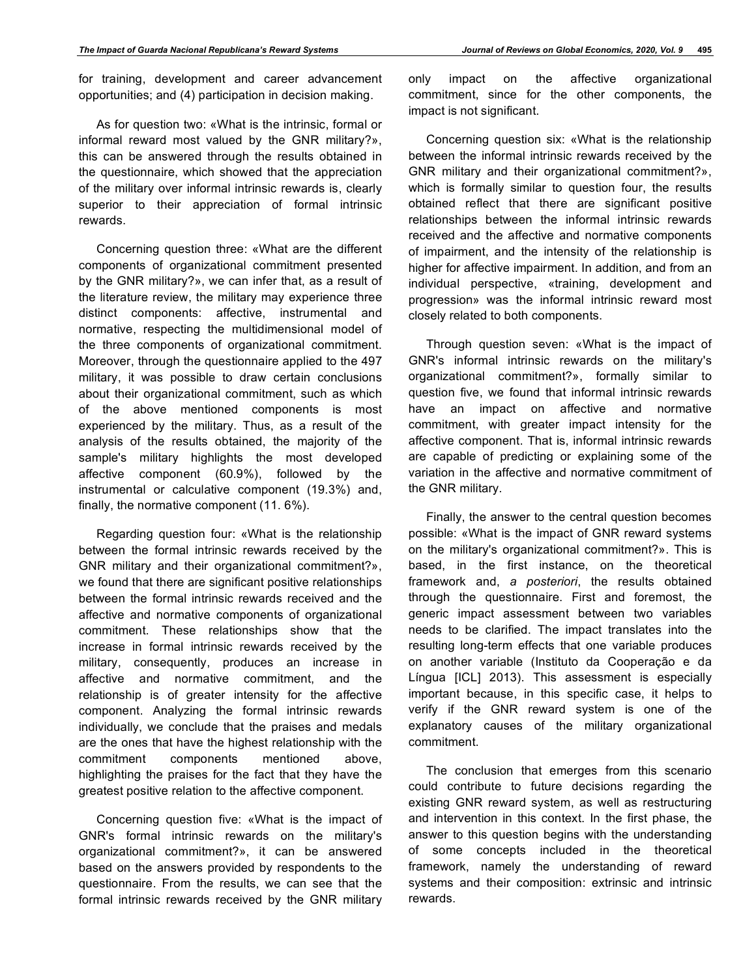for training, development and career advancement opportunities; and (4) participation in decision making.

As for question two: «What is the intrinsic, formal or informal reward most valued by the GNR military?», this can be answered through the results obtained in the questionnaire, which showed that the appreciation of the military over informal intrinsic rewards is, clearly superior to their appreciation of formal intrinsic rewards.

Concerning question three: «What are the different components of organizational commitment presented by the GNR military?», we can infer that, as a result of the literature review, the military may experience three distinct components: affective, instrumental and normative, respecting the multidimensional model of the three components of organizational commitment. Moreover, through the questionnaire applied to the 497 military, it was possible to draw certain conclusions about their organizational commitment, such as which of the above mentioned components is most experienced by the military. Thus, as a result of the analysis of the results obtained, the majority of the sample's military highlights the most developed affective component (60.9%), followed by the instrumental or calculative component (19.3%) and, finally, the normative component (11. 6%).

Regarding question four: «What is the relationship between the formal intrinsic rewards received by the GNR military and their organizational commitment?», we found that there are significant positive relationships between the formal intrinsic rewards received and the affective and normative components of organizational commitment. These relationships show that the increase in formal intrinsic rewards received by the military, consequently, produces an increase in affective and normative commitment, and the relationship is of greater intensity for the affective component. Analyzing the formal intrinsic rewards individually, we conclude that the praises and medals are the ones that have the highest relationship with the commitment components mentioned above, highlighting the praises for the fact that they have the greatest positive relation to the affective component.

Concerning question five: «What is the impact of GNR's formal intrinsic rewards on the military's organizational commitment?», it can be answered based on the answers provided by respondents to the questionnaire. From the results, we can see that the formal intrinsic rewards received by the GNR military only impact on the affective organizational commitment, since for the other components, the impact is not significant.

Concerning question six: «What is the relationship between the informal intrinsic rewards received by the GNR military and their organizational commitment?», which is formally similar to question four, the results obtained reflect that there are significant positive relationships between the informal intrinsic rewards received and the affective and normative components of impairment, and the intensity of the relationship is higher for affective impairment. In addition, and from an individual perspective, «training, development and progression» was the informal intrinsic reward most closely related to both components.

Through question seven: «What is the impact of GNR's informal intrinsic rewards on the military's organizational commitment?», formally similar to question five, we found that informal intrinsic rewards have an impact on affective and normative commitment, with greater impact intensity for the affective component. That is, informal intrinsic rewards are capable of predicting or explaining some of the variation in the affective and normative commitment of the GNR military.

Finally, the answer to the central question becomes possible: «What is the impact of GNR reward systems on the military's organizational commitment?». This is based, in the first instance, on the theoretical framework and, *a posteriori*, the results obtained through the questionnaire. First and foremost, the generic impact assessment between two variables needs to be clarified. The impact translates into the resulting long-term effects that one variable produces on another variable (Instituto da Cooperação e da Língua [ICL] 2013). This assessment is especially important because, in this specific case, it helps to verify if the GNR reward system is one of the explanatory causes of the military organizational commitment.

The conclusion that emerges from this scenario could contribute to future decisions regarding the existing GNR reward system, as well as restructuring and intervention in this context. In the first phase, the answer to this question begins with the understanding of some concepts included in the theoretical framework, namely the understanding of reward systems and their composition: extrinsic and intrinsic rewards.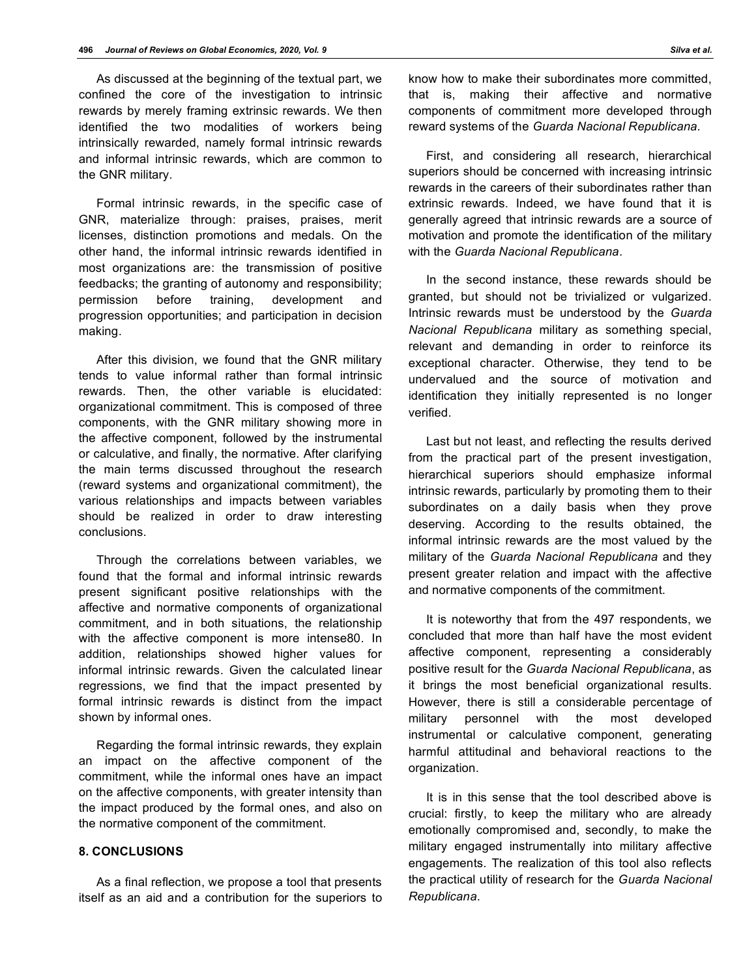As discussed at the beginning of the textual part, we confined the core of the investigation to intrinsic rewards by merely framing extrinsic rewards. We then identified the two modalities of workers being intrinsically rewarded, namely formal intrinsic rewards and informal intrinsic rewards, which are common to the GNR military.

Formal intrinsic rewards, in the specific case of GNR, materialize through: praises, praises, merit licenses, distinction promotions and medals. On the other hand, the informal intrinsic rewards identified in most organizations are: the transmission of positive feedbacks; the granting of autonomy and responsibility; permission before training, development and progression opportunities; and participation in decision making.

After this division, we found that the GNR military tends to value informal rather than formal intrinsic rewards. Then, the other variable is elucidated: organizational commitment. This is composed of three components, with the GNR military showing more in the affective component, followed by the instrumental or calculative, and finally, the normative. After clarifying the main terms discussed throughout the research (reward systems and organizational commitment), the various relationships and impacts between variables should be realized in order to draw interesting conclusions.

Through the correlations between variables, we found that the formal and informal intrinsic rewards present significant positive relationships with the affective and normative components of organizational commitment, and in both situations, the relationship with the affective component is more intense80. In addition, relationships showed higher values for informal intrinsic rewards. Given the calculated linear regressions, we find that the impact presented by formal intrinsic rewards is distinct from the impact shown by informal ones.

Regarding the formal intrinsic rewards, they explain an impact on the affective component of the commitment, while the informal ones have an impact on the affective components, with greater intensity than the impact produced by the formal ones, and also on the normative component of the commitment.

#### **8. CONCLUSIONS**

As a final reflection, we propose a tool that presents itself as an aid and a contribution for the superiors to know how to make their subordinates more committed, that is, making their affective and normative components of commitment more developed through reward systems of the *Guarda Nacional Republicana*.

First, and considering all research, hierarchical superiors should be concerned with increasing intrinsic rewards in the careers of their subordinates rather than extrinsic rewards. Indeed, we have found that it is generally agreed that intrinsic rewards are a source of motivation and promote the identification of the military with the *Guarda Nacional Republicana*.

In the second instance, these rewards should be granted, but should not be trivialized or vulgarized. Intrinsic rewards must be understood by the *Guarda Nacional Republicana* military as something special, relevant and demanding in order to reinforce its exceptional character. Otherwise, they tend to be undervalued and the source of motivation and identification they initially represented is no longer verified.

Last but not least, and reflecting the results derived from the practical part of the present investigation, hierarchical superiors should emphasize informal intrinsic rewards, particularly by promoting them to their subordinates on a daily basis when they prove deserving. According to the results obtained, the informal intrinsic rewards are the most valued by the military of the *Guarda Nacional Republicana* and they present greater relation and impact with the affective and normative components of the commitment.

It is noteworthy that from the 497 respondents, we concluded that more than half have the most evident affective component, representing a considerably positive result for the *Guarda Nacional Republicana*, as it brings the most beneficial organizational results. However, there is still a considerable percentage of military personnel with the most developed instrumental or calculative component, generating harmful attitudinal and behavioral reactions to the organization.

It is in this sense that the tool described above is crucial: firstly, to keep the military who are already emotionally compromised and, secondly, to make the military engaged instrumentally into military affective engagements. The realization of this tool also reflects the practical utility of research for the *Guarda Nacional Republicana*.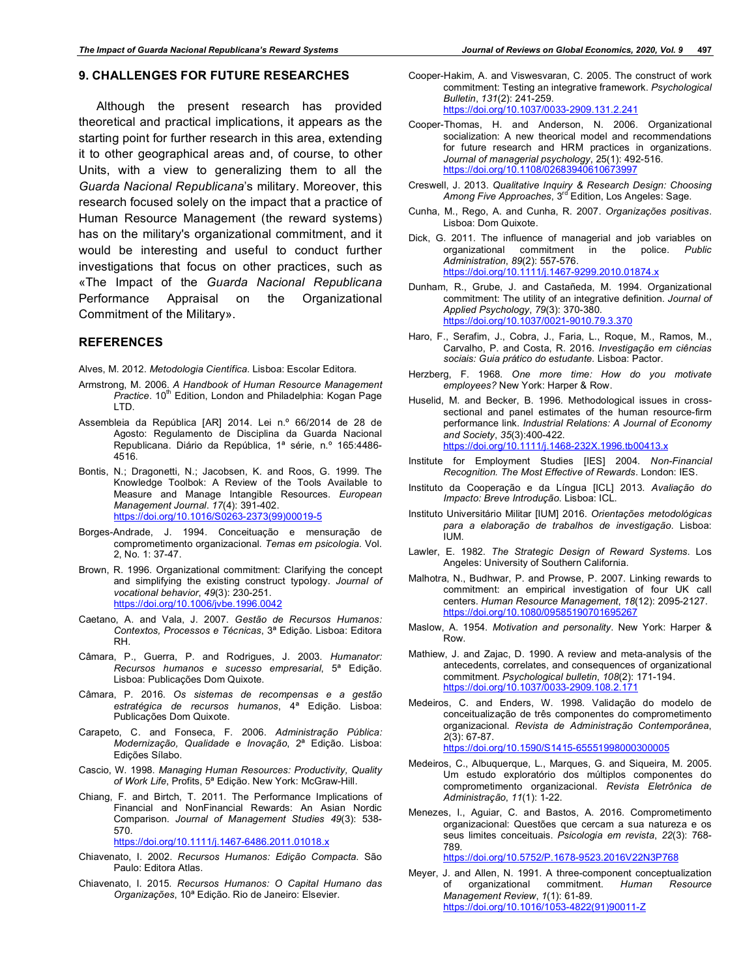#### **9. CHALLENGES FOR FUTURE RESEARCHES**

Although the present research has provided theoretical and practical implications, it appears as the starting point for further research in this area, extending it to other geographical areas and, of course, to other Units, with a view to generalizing them to all the *Guarda Nacional Republicana*'s military. Moreover, this research focused solely on the impact that a practice of Human Resource Management (the reward systems) has on the military's organizational commitment, and it would be interesting and useful to conduct further investigations that focus on other practices, such as «The Impact of the *Guarda Nacional Republicana* Performance Appraisal on the Organizational Commitment of the Military».

#### **REFERENCES**

Alves, M. 2012. *Metodologia Científica*. Lisboa: Escolar Editora.

- Armstrong, M. 2006. *A Handbook of Human Resource Management*  Practice. 10<sup>th</sup> Edition, London and Philadelphia: Kogan Page LTD.
- Assembleia da República [AR] 2014. Lei n.º 66/2014 de 28 de Agosto: Regulamento de Disciplina da Guarda Nacional Republicana. Diário da República, 1ª série, n.º 165:4486- 4516.
- Bontis, N.; Dragonetti, N.; Jacobsen, K. and Roos, G. 1999. The Knowledge Toolbok: A Review of the Tools Available to Measure and Manage Intangible Resources. *European Management Journal*. *17*(4): 391-402. https://doi.org/10.1016/S0263-2373(99)00019-5
- Borges-Andrade, J. 1994. Conceituação e mensuração de comprometimento organizacional. *Temas em psicologia*. Vol. 2, No. 1: 37-47.
- Brown, R. 1996. Organizational commitment: Clarifying the concept and simplifying the existing construct typology. *Journal of vocational behavior*, *49*(3): 230-251. https://doi.org/10.1006/jvbe.1996.0042
- Caetano, A. and Vala, J. 2007. *Gestão de Recursos Humanos: Contextos, Processos e Técnicas*, 3ª Edição. Lisboa: Editora RH.
- Câmara, P., Guerra, P. and Rodrigues, J. 2003. *Humanator: Recursos humanos e sucesso empresarial*, 5ª Edição. Lisboa: Publicações Dom Quixote.
- Câmara, P. 2016. *Os sistemas de recompensas e a gestão estratégica de recursos humanos*, 4ª Edição. Lisboa: Publicações Dom Quixote.
- Carapeto, C. and Fonseca, F. 2006. *Administração Pública: Modernização, Qualidade e Inovação*, 2ª Edição. Lisboa: Edições Sílabo.
- Cascio, W. 1998. *Managing Human Resources: Productivity, Quality of Work Life*, Profits, 5ª Edição. New York: McGraw-Hill.
- Chiang, F. and Birtch, T. 2011. The Performance Implications of Financial and NonFinancial Rewards: An Asian Nordic Comparison. *Journal of Management Studies 49*(3): 538- 570.

https://doi.org/10.1111/j.1467-6486.2011.01018.x

- Chiavenato, I. 2002. *Recursos Humanos: Edição Compacta*. São Paulo: Editora Atlas.
- Chiavenato, I. 2015. *Recursos Humanos: O Capital Humano das Organizações*, 10ª Edição. Rio de Janeiro: Elsevier.
- Cooper-Hakim, A. and Viswesvaran, C. 2005. The construct of work commitment: Testing an integrative framework. *Psychological Bulletin*, *131*(2): 241-259. https://doi.org/10.1037/0033-2909.131.2.241
- Cooper-Thomas, H. and Anderson, N. 2006. Organizational socialization: A new theorical model and recommendations for future research and HRM practices in organizations. *Journal of managerial psychology*, 25(1): 492-516. https://doi.org/10.1108/02683940610673997
- Creswell, J. 2013. *Qualitative Inquiry & Research Design: Choosing*  Among Five Approaches, 3<sup>rd</sup> Edition, Los Angeles: Sage.
- Cunha, M., Rego, A. and Cunha, R. 2007. *Organizações positivas*. Lisboa: Dom Quixote.
- Dick, G. 2011. The influence of managerial and job variables on organizational commitment in the police. Public organizational commitment *Administration*, *89*(2): 557-576. https://doi.org/10.1111/j.1467-9299.2010.01874.x
- Dunham, R., Grube, J. and Castañeda, M. 1994. Organizational commitment: The utility of an integrative definition. *Journal of Applied Psychology*, *79*(3): 370-380. https://doi.org/10.1037/0021-9010.79.3.370
- Haro, F., Serafim, J., Cobra, J., Faria, L., Roque, M., Ramos, M., Carvalho, P. and Costa, R. 2016. *Investigação em ciências sociais: Guia prático do estudante*. Lisboa: Pactor.
- Herzberg, F. 1968. *One more time: How do you motivate employees?* New York: Harper & Row.
- Huselid, M. and Becker, B. 1996. Methodological issues in crosssectional and panel estimates of the human resource-firm performance link. *Industrial Relations: A Journal of Economy and Society*, *35*(3):400-422. https://doi.org/10.1111/j.1468-232X.1996.tb00413.x
- Institute for Employment Studies [IES] 2004. *Non-Financial Recognition. The Most Effective of Rewards*. London: IES.
- Instituto da Cooperação e da Língua [ICL] 2013. *Avaliação do Impacto: Breve Introdução*. Lisboa: ICL.
- Instituto Universitário Militar [IUM] 2016. *Orientações metodológicas para a elaboração de trabalhos de investigação*. Lisboa: IUM.
- Lawler, E. 1982. *The Strategic Design of Reward Systems*. Los Angeles: University of Southern California.
- Malhotra, N., Budhwar, P. and Prowse, P. 2007. Linking rewards to commitment: an empirical investigation of four UK call centers. *Human Resource Management*, *18*(12): 2095-2127. https://doi.org/10.1080/09585190701695
- Maslow, A. 1954. *Motivation and personality*. New York: Harper & Row.
- Mathiew, J. and Zajac, D. 1990. A review and meta-analysis of the antecedents, correlates, and consequences of organizational commitment. *Psychological bulletin*, *108*(2): 171-194. https://doi.org/10.1037/0033-2909.108.2.171
- Medeiros, C. and Enders, W. 1998. Validação do modelo de conceitualização de três componentes do comprometimento organizacional. *Revista de Administração Contemporânea*, *2*(3): 67-87.
	- https://doi.org/10.1590/S1415-65551998000300005
- Medeiros, C., Albuquerque, L., Marques, G. and Siqueira, M. 2005. Um estudo exploratório dos múltiplos componentes do comprometimento organizacional. *Revista Eletrônica de Administração*, *11*(1): 1-22.
- Menezes, I., Aguiar, C. and Bastos, A. 2016. Comprometimento organizacional: Questões que cercam a sua natureza e os seus limites conceituais. *Psicologia em revista*, *22*(3): 768- 789.

https://doi.org/10.5752/P.1678-9523.2016V22N3P768

Meyer, J. and Allen, N. 1991. A three-component conceptualization of organizational commitment. *Human Resource Management Review*, *1*(1): 61-89. https://doi.org/10.1016/1053-4822(91)90011-Z